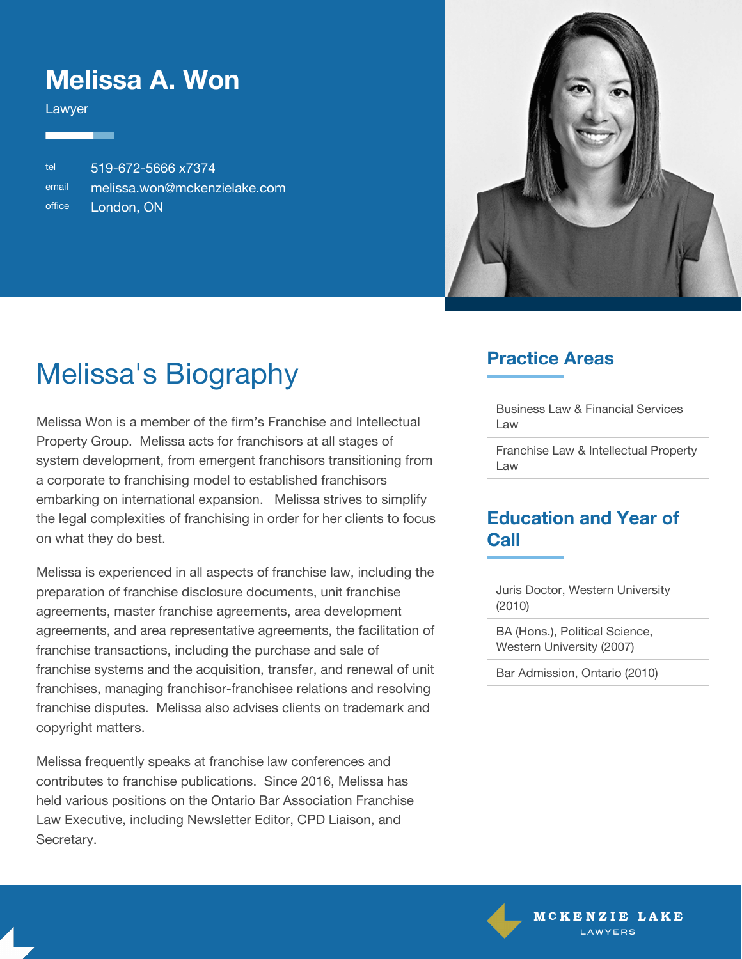### **Melissa A. Won**

Lawyer

tel 519-672-5666 x7374 email [melissa.won@mckenzielake.com](mailto:melissa.won@mckenzielake.com) office London, ON



# Melissa's Biography

Melissa Won is a member of the firm's Franchise and Intellectual Property Group. Melissa acts for franchisors at all stages of system development, from emergent franchisors transitioning from a corporate to franchising model to established franchisors embarking on international expansion. Melissa strives to simplify the legal complexities of franchising in order for her clients to focus on what they do best.

Melissa is experienced in all aspects of franchise law, including the preparation of franchise disclosure documents, unit franchise agreements, master franchise agreements, area development agreements, and area representative agreements, the facilitation of franchise transactions, including the purchase and sale of franchise systems and the acquisition, transfer, and renewal of unit franchises, managing franchisor-franchisee relations and resolving franchise disputes. Melissa also advises clients on trademark and copyright matters.

Melissa frequently speaks at franchise law conferences and contributes to franchise publications. Since 2016, Melissa has held various positions on the Ontario Bar Association Franchise Law Executive, including Newsletter Editor, CPD Liaison, and Secretary.

#### **Practice Areas**

Business Law & Financial Services Law

Franchise Law & Intellectual Property Law

#### **Education and Year of Call**

Juris Doctor, Western University (2010)

BA (Hons.), Political Science, Western University (2007)

Bar Admission, Ontario (2010)

MCKENZIE LAKE LAWYFRS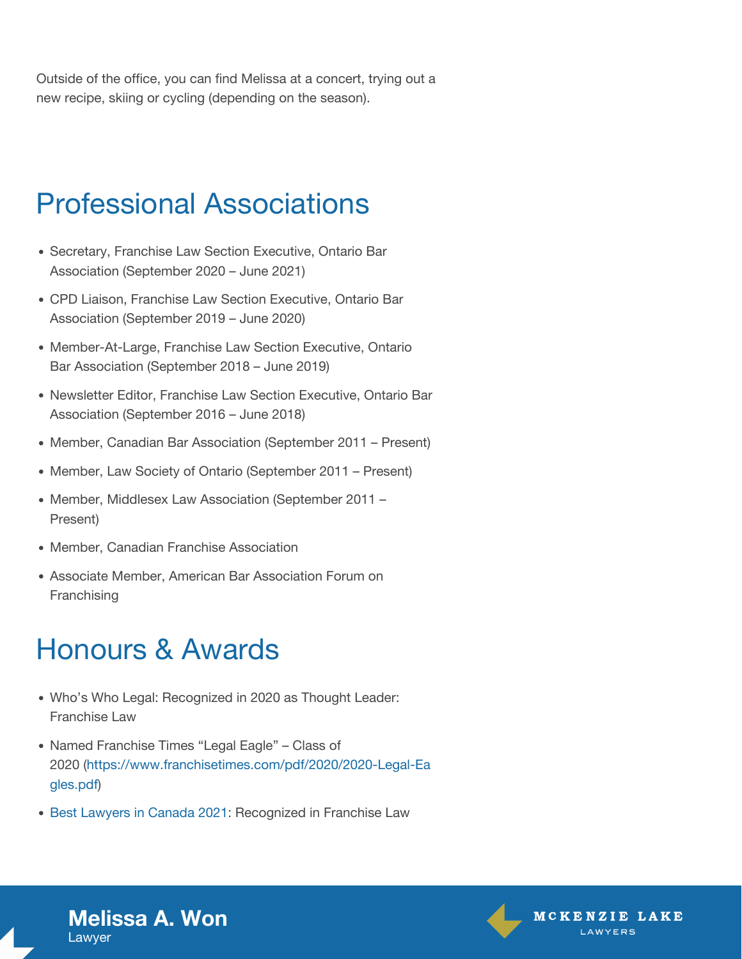Outside of the office, you can find Melissa at a concert, trying out a new recipe, skiing or cycling (depending on the season).

## Professional Associations

- Secretary, Franchise Law Section Executive, Ontario Bar Association (September 2020 – June 2021)
- CPD Liaison, Franchise Law Section Executive, Ontario Bar Association (September 2019 – June 2020)
- Member-At-Large, Franchise Law Section Executive, Ontario Bar Association (September 2018 – June 2019)
- Newsletter Editor, Franchise Law Section Executive, Ontario Bar Association (September 2016 – June 2018)
- Member, Canadian Bar Association (September 2011 Present)
- Member, Law Society of Ontario (September 2011 Present)
- Member, Middlesex Law Association (September 2011 -Present)
- Member, Canadian Franchise Association
- Associate Member, American Bar Association Forum on Franchising

### Honours & Awards

- Who's Who Legal: Recognized in 2020 as Thought Leader: Franchise Law
- Named Franchise Times "Legal Eagle" Class of 2020 ([https://www.franchisetimes.com/pdf/2020/2020-Legal-Ea](https://www.franchisetimes.com/pdf/2020/2020-Legal-Eagles.pdf) [gles.pdf\)](https://www.franchisetimes.com/pdf/2020/2020-Legal-Eagles.pdf)
- [Best Lawyers in Canada 2021](https://www.bestlawyers.com/lawyers/melissa-won/285378): Recognized in Franchise Law





**Melissa A. Won** Lawyer